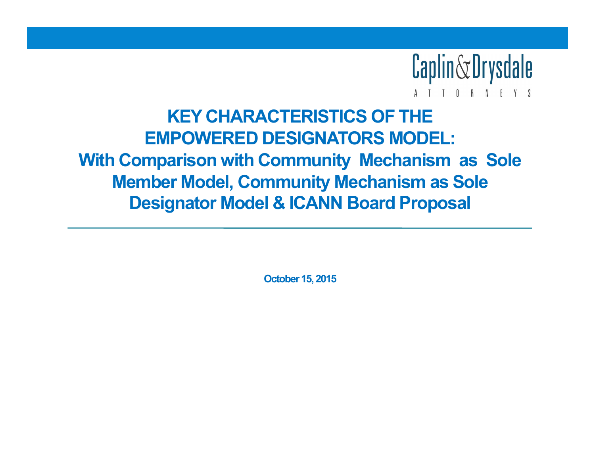

# **KEY CHARACTERISTICS OF THE EMPOWERED DESIGNATORS MODEL: With Comparison with Community Mechanism as Sole Member Model, Community Mechanism as Sole Designator Model & ICANN Board Proposal**

**October 15, 2015**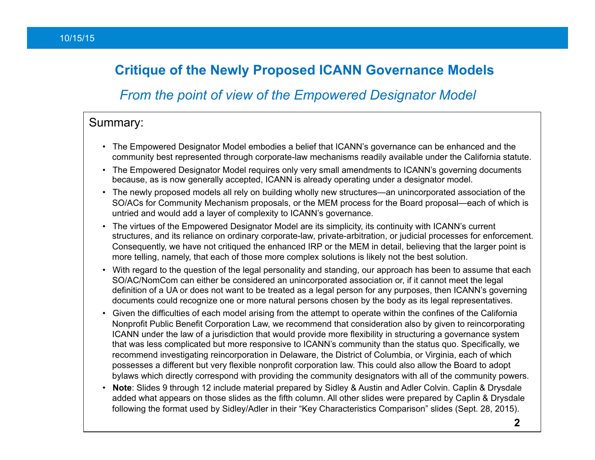#### **Critique of the Newly Proposed ICANN Governance Models**

#### *From the point of view of the Empowered Designator Model*

#### Summary:

- The Empowered Designator Model embodies a belief that ICANN's governance can be enhanced and the community best represented through corporate-law mechanisms readily available under the California statute.
- The Empowered Designator Model requires only very small amendments to ICANN's governing documents because, as is now generally accepted, ICANN is already operating under a designator model.
- The newly proposed models all rely on building wholly new structures—an unincorporated association of the SO/ACs for Community Mechanism proposals, or the MEM process for the Board proposal—each of which is untried and would add a layer of complexity to ICANN's governance.
- The virtues of the Empowered Designator Model are its simplicity, its continuity with ICANN's current structures, and its reliance on ordinary corporate-law, private-arbitration, or judicial processes for enforcement. Consequently, we have not critiqued the enhanced IRP or the MEM in detail, believing that the larger point is more telling, namely, that each of those more complex solutions is likely not the best solution.
- With regard to the question of the legal personality and standing, our approach has been to assume that each SO/AC/NomCom can either be considered an unincorporated association or, if it cannot meet the legal definition of a UA or does not want to be treated as a legal person for any purposes, then ICANN's governing documents could recognize one or more natural persons chosen by the body as its legal representatives.
- Given the difficulties of each model arising from the attempt to operate within the confines of the California Nonprofit Public Benefit Corporation Law, we recommend that consideration also by given to reincorporating ICANN under the law of a jurisdiction that would provide more flexibility in structuring a governance system that was less complicated but more responsive to ICANN's community than the status quo. Specifically, we recommend investigating reincorporation in Delaware, the District of Columbia, or Virginia, each of which possesses a different but very flexible nonprofit corporation law. This could also allow the Board to adopt bylaws which directly correspond with providing the community designators with all of the community powers.
- **Note**: Slides 9 through 12 include material prepared by Sidley & Austin and Adler Colvin. Caplin & Drysdale added what appears on those slides as the fifth column. All other slides were prepared by Caplin & Drysdale following the format used by Sidley/Adler in their "Key Characteristics Comparison" slides (Sept. 28, 2015).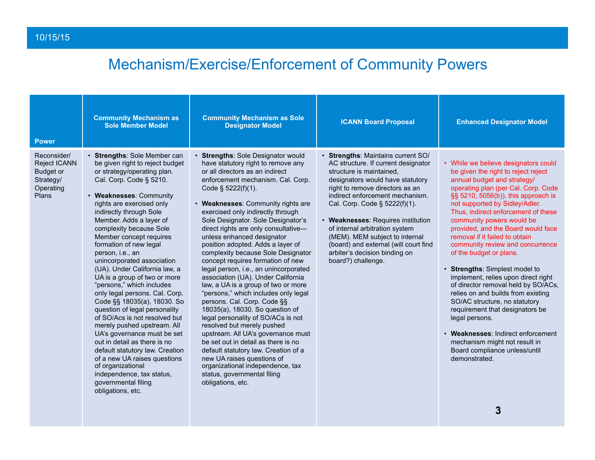| <b>Power</b>                                                                              | <b>Community Mechanism as</b><br><b>Sole Member Model</b>                                                                                                                                                                                                                                                                                                                                                                                                                                                                                                                                                                                                                                                                                                                                                                                                                 | <b>Community Mechanism as Sole</b><br><b>Designator Model</b>                                                                                                                                                                                                                                                                                                                                                                                                                                                                                                                                                                                                                                                                                                                                                                                                                                                                                                                                                                   | <b>ICANN Board Proposal</b>                                                                                                                                                                                                                                                                                                                                                                                                                                | <b>Enhanced Designator Model</b>                                                                                                                                                                                                                                                                                                                                                                                                                                                                                                                                                                                                                                                                                                                                                                           |
|-------------------------------------------------------------------------------------------|---------------------------------------------------------------------------------------------------------------------------------------------------------------------------------------------------------------------------------------------------------------------------------------------------------------------------------------------------------------------------------------------------------------------------------------------------------------------------------------------------------------------------------------------------------------------------------------------------------------------------------------------------------------------------------------------------------------------------------------------------------------------------------------------------------------------------------------------------------------------------|---------------------------------------------------------------------------------------------------------------------------------------------------------------------------------------------------------------------------------------------------------------------------------------------------------------------------------------------------------------------------------------------------------------------------------------------------------------------------------------------------------------------------------------------------------------------------------------------------------------------------------------------------------------------------------------------------------------------------------------------------------------------------------------------------------------------------------------------------------------------------------------------------------------------------------------------------------------------------------------------------------------------------------|------------------------------------------------------------------------------------------------------------------------------------------------------------------------------------------------------------------------------------------------------------------------------------------------------------------------------------------------------------------------------------------------------------------------------------------------------------|------------------------------------------------------------------------------------------------------------------------------------------------------------------------------------------------------------------------------------------------------------------------------------------------------------------------------------------------------------------------------------------------------------------------------------------------------------------------------------------------------------------------------------------------------------------------------------------------------------------------------------------------------------------------------------------------------------------------------------------------------------------------------------------------------------|
| Reconsider/<br><b>Reject ICANN</b><br><b>Budget or</b><br>Strategy/<br>Operating<br>Plans | • Strengths: Sole Member can<br>be given right to reject budget<br>or strategy/operating plan.<br>Cal. Corp. Code § 5210.<br>• Weaknesses: Community<br>rights are exercised only<br>indirectly through Sole<br>Member. Adds a layer of<br>complexity because Sole<br>Member concept requires<br>formation of new legal<br>person, i.e., an<br>unincorporated association<br>(UA). Under California law, a<br>UA is a group of two or more<br>"persons," which includes<br>only legal persons. Cal. Corp.<br>Code §§ 18035(a), 18030. So<br>question of legal personality<br>of SO/Acs is not resolved but<br>merely pushed upstream. All<br>UA's governance must be set<br>out in detail as there is no<br>default statutory law. Creation<br>of a new UA raises questions<br>of organizational<br>independence, tax status,<br>governmental filing<br>obligations, etc. | • Strengths: Sole Designator would<br>have statutory right to remove any<br>or all directors as an indirect<br>enforcement mechanism. Cal. Corp.<br>Code $\S$ 5222(f)(1).<br>• Weaknesses: Community rights are<br>exercised only indirectly through<br>Sole Designator. Sole Designator's<br>direct rights are only consultative-<br>unless enhanced designator<br>position adopted. Adds a layer of<br>complexity because Sole Designator<br>concept requires formation of new<br>legal person, i.e., an unincorporated<br>association (UA). Under California<br>law, a UA is a group of two or more<br>"persons," which includes only legal<br>persons. Cal. Corp. Code §§<br>18035(a), 18030. So question of<br>legal personality of SO/ACs is not<br>resolved but merely pushed<br>upstream. All UA's governance must<br>be set out in detail as there is no<br>default statutory law. Creation of a<br>new UA raises questions of<br>organizational independence, tax<br>status, governmental filing<br>obligations, etc. | · Strengths: Maintains current SO/<br>AC structure. If current designator<br>structure is maintained,<br>designators would have statutory<br>right to remove directors as an<br>indirect enforcement mechanism.<br>Cal. Corp. Code § 5222(f)(1).<br>• Weaknesses: Requires institution<br>of internal arbitration system<br>(MEM). MEM subject to internal<br>(board) and external (will court find<br>arbiter's decision binding on<br>board?) challenge. | • While we believe designators could<br>be given the right to reject reject<br>annual budget and strategy/<br>operating plan (per Cal. Corp. Code<br>§§ 5210, 5056(b)), this approach is<br>not supported by Sidley/Adler.<br>Thus, indirect enforcement of these<br>community powers would be<br>provided, and the Board would face<br>removal if it failed to obtain<br>community review and concurrence<br>of the budget or plans.<br>• Strengths: Simplest model to<br>implement, relies upon direct right<br>of director removal held by SO/ACs,<br>relies on and builds from existing<br>SO/AC structure, no statutory<br>requirement that designators be<br>legal persons.<br>• Weaknesses: Indirect enforcement<br>mechanism might not result in<br>Board compliance unless/until<br>demonstrated. |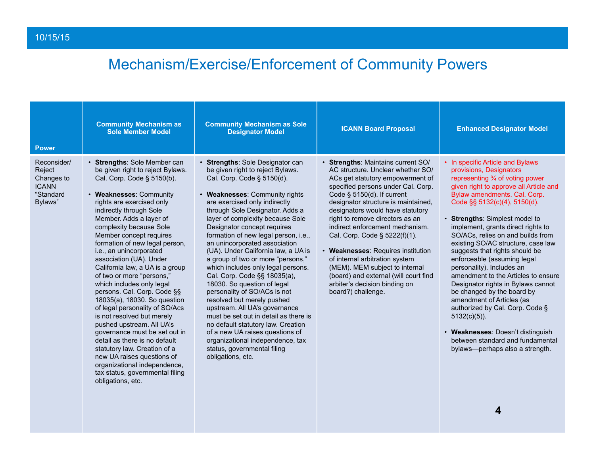| <b>Power</b>                                                                | <b>Community Mechanism as</b><br><b>Sole Member Model</b>                                                                                                                                                                                                                                                                                                                                                                                                                                                                                                                                                                                                                                                                                                                                                                                   | <b>Community Mechanism as Sole</b><br><b>Designator Model</b>                                                                                                                                                                                                                                                                                                                                                                                                                                                                                                                                                                                                                                                                                                                                                                                  | <b>ICANN Board Proposal</b>                                                                                                                                                                                                                                                                                                                                                                                                                                                                                                                                                    | <b>Enhanced Designator Model</b>                                                                                                                                                                                                                                                                                                                                                                                                                                                                                                                                                                                                                                                                                                                                         |
|-----------------------------------------------------------------------------|---------------------------------------------------------------------------------------------------------------------------------------------------------------------------------------------------------------------------------------------------------------------------------------------------------------------------------------------------------------------------------------------------------------------------------------------------------------------------------------------------------------------------------------------------------------------------------------------------------------------------------------------------------------------------------------------------------------------------------------------------------------------------------------------------------------------------------------------|------------------------------------------------------------------------------------------------------------------------------------------------------------------------------------------------------------------------------------------------------------------------------------------------------------------------------------------------------------------------------------------------------------------------------------------------------------------------------------------------------------------------------------------------------------------------------------------------------------------------------------------------------------------------------------------------------------------------------------------------------------------------------------------------------------------------------------------------|--------------------------------------------------------------------------------------------------------------------------------------------------------------------------------------------------------------------------------------------------------------------------------------------------------------------------------------------------------------------------------------------------------------------------------------------------------------------------------------------------------------------------------------------------------------------------------|--------------------------------------------------------------------------------------------------------------------------------------------------------------------------------------------------------------------------------------------------------------------------------------------------------------------------------------------------------------------------------------------------------------------------------------------------------------------------------------------------------------------------------------------------------------------------------------------------------------------------------------------------------------------------------------------------------------------------------------------------------------------------|
| Reconsider/<br>Reject<br>Changes to<br><b>ICANN</b><br>"Standard<br>Bylaws" | • Strengths: Sole Member can<br>be given right to reject Bylaws.<br>Cal. Corp. Code § 5150(b).<br>• Weaknesses: Community<br>rights are exercised only<br>indirectly through Sole<br>Member. Adds a layer of<br>complexity because Sole<br>Member concept requires<br>formation of new legal person,<br>i.e., an unincorporated<br>association (UA). Under<br>California law, a UA is a group<br>of two or more "persons,"<br>which includes only legal<br>persons. Cal. Corp. Code §§<br>18035(a), 18030. So question<br>of legal personality of SO/Acs<br>is not resolved but merely<br>pushed upstream. All UA's<br>governance must be set out in<br>detail as there is no default<br>statutory law. Creation of a<br>new UA raises questions of<br>organizational independence,<br>tax status, governmental filing<br>obligations, etc. | • Strengths: Sole Designator can<br>be given right to reject Bylaws.<br>Cal. Corp. Code § 5150(d).<br>• Weaknesses: Community rights<br>are exercised only indirectly<br>through Sole Designator. Adds a<br>layer of complexity because Sole<br>Designator concept requires<br>formation of new legal person, i.e.,<br>an unincorporated association<br>(UA). Under California law, a UA is<br>a group of two or more "persons,"<br>which includes only legal persons.<br>Cal. Corp. Code §§ 18035(a),<br>18030. So question of legal<br>personality of SO/ACs is not<br>resolved but merely pushed<br>upstream. All UA's governance<br>must be set out in detail as there is<br>no default statutory law. Creation<br>of a new UA raises questions of<br>organizational independence, tax<br>status, governmental filing<br>obligations, etc. | · Strengths: Maintains current SO/<br>AC structure. Unclear whether SO/<br>ACs get statutory empowerment of<br>specified persons under Cal. Corp.<br>Code $\S$ 5150(d). If current<br>designator structure is maintained,<br>designators would have statutory<br>right to remove directors as an<br>indirect enforcement mechanism.<br>Cal. Corp. Code § 5222(f)(1).<br>• Weaknesses: Requires institution<br>of internal arbitration system<br>(MEM). MEM subject to internal<br>(board) and external (will court find<br>arbiter's decision binding on<br>board?) challenge. | • In specific Article and Bylaws<br>provisions, Designators<br>representing 3⁄4 of voting power<br>given right to approve all Article and<br>Bylaw amendments. Cal. Corp.<br>Code $\S$ § 5132(c)(4), 5150(d).<br>• Strengths: Simplest model to<br>implement, grants direct rights to<br>SO/ACs, relies on and builds from<br>existing SO/AC structure, case law<br>suggests that rights should be<br>enforceable (assuming legal<br>personality). Includes an<br>amendment to the Articles to ensure<br>Designator rights in Bylaws cannot<br>be changed by the board by<br>amendment of Articles (as<br>authorized by Cal. Corp. Code §<br>$5132(c)(5)$ ).<br>• Weaknesses: Doesn't distinguish<br>between standard and fundamental<br>bylaws—perhaps also a strength. |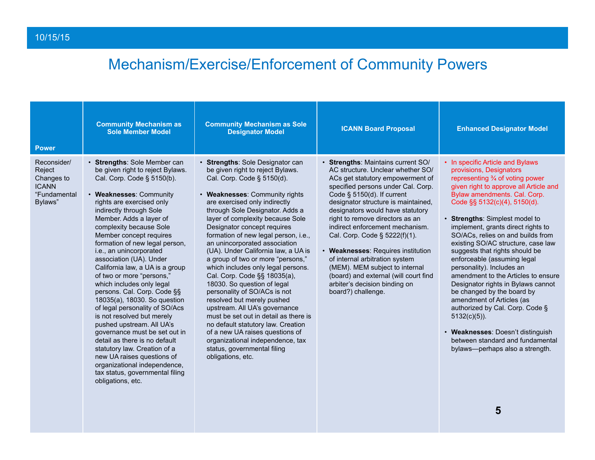| <b>Power</b>                                                                   | <b>Community Mechanism as</b><br><b>Sole Member Model</b>                                                                                                                                                                                                                                                                                                                                                                                                                                                                                                                                                                                                                                                                                                                                                                                   | <b>Community Mechanism as Sole</b><br><b>Designator Model</b>                                                                                                                                                                                                                                                                                                                                                                                                                                                                                                                                                                                                                                                                                                                                                                                  | <b>ICANN Board Proposal</b>                                                                                                                                                                                                                                                                                                                                                                                                                                                                                                                                                    | <b>Enhanced Designator Model</b>                                                                                                                                                                                                                                                                                                                                                                                                                                                                                                                                                                                                                                                                                                                                     |
|--------------------------------------------------------------------------------|---------------------------------------------------------------------------------------------------------------------------------------------------------------------------------------------------------------------------------------------------------------------------------------------------------------------------------------------------------------------------------------------------------------------------------------------------------------------------------------------------------------------------------------------------------------------------------------------------------------------------------------------------------------------------------------------------------------------------------------------------------------------------------------------------------------------------------------------|------------------------------------------------------------------------------------------------------------------------------------------------------------------------------------------------------------------------------------------------------------------------------------------------------------------------------------------------------------------------------------------------------------------------------------------------------------------------------------------------------------------------------------------------------------------------------------------------------------------------------------------------------------------------------------------------------------------------------------------------------------------------------------------------------------------------------------------------|--------------------------------------------------------------------------------------------------------------------------------------------------------------------------------------------------------------------------------------------------------------------------------------------------------------------------------------------------------------------------------------------------------------------------------------------------------------------------------------------------------------------------------------------------------------------------------|----------------------------------------------------------------------------------------------------------------------------------------------------------------------------------------------------------------------------------------------------------------------------------------------------------------------------------------------------------------------------------------------------------------------------------------------------------------------------------------------------------------------------------------------------------------------------------------------------------------------------------------------------------------------------------------------------------------------------------------------------------------------|
| Reconsider/<br>Reject<br>Changes to<br><b>ICANN</b><br>"Fundamental<br>Bylaws" | • Strengths: Sole Member can<br>be given right to reject Bylaws.<br>Cal. Corp. Code § 5150(b).<br>• Weaknesses: Community<br>rights are exercised only<br>indirectly through Sole<br>Member. Adds a layer of<br>complexity because Sole<br>Member concept requires<br>formation of new legal person,<br>i.e., an unincorporated<br>association (UA). Under<br>California law, a UA is a group<br>of two or more "persons,"<br>which includes only legal<br>persons. Cal. Corp. Code §§<br>18035(a), 18030. So question<br>of legal personality of SO/Acs<br>is not resolved but merely<br>pushed upstream. All UA's<br>governance must be set out in<br>detail as there is no default<br>statutory law. Creation of a<br>new UA raises questions of<br>organizational independence,<br>tax status, governmental filing<br>obligations, etc. | • Strengths: Sole Designator can<br>be given right to reject Bylaws.<br>Cal. Corp. Code § 5150(d).<br>• Weaknesses: Community rights<br>are exercised only indirectly<br>through Sole Designator. Adds a<br>layer of complexity because Sole<br>Designator concept requires<br>formation of new legal person, i.e.,<br>an unincorporated association<br>(UA). Under California law, a UA is<br>a group of two or more "persons,"<br>which includes only legal persons.<br>Cal. Corp. Code §§ 18035(a),<br>18030. So question of legal<br>personality of SO/ACs is not<br>resolved but merely pushed<br>upstream. All UA's governance<br>must be set out in detail as there is<br>no default statutory law. Creation<br>of a new UA raises questions of<br>organizational independence, tax<br>status, governmental filing<br>obligations, etc. | · Strengths: Maintains current SO/<br>AC structure. Unclear whether SO/<br>ACs get statutory empowerment of<br>specified persons under Cal. Corp.<br>Code $\S$ 5150(d). If current<br>designator structure is maintained,<br>designators would have statutory<br>right to remove directors as an<br>indirect enforcement mechanism.<br>Cal. Corp. Code § 5222(f)(1).<br>• Weaknesses: Requires institution<br>of internal arbitration system<br>(MEM). MEM subject to internal<br>(board) and external (will court find<br>arbiter's decision binding on<br>board?) challenge. | • In specific Article and Bylaws<br>provisions, Designators<br>representing 3⁄4 of voting power<br>given right to approve all Article and<br>Bylaw amendments. Cal. Corp.<br>Code §§ 5132(c)(4), 5150(d).<br>• Strengths: Simplest model to<br>implement, grants direct rights to<br>SO/ACs, relies on and builds from<br>existing SO/AC structure, case law<br>suggests that rights should be<br>enforceable (assuming legal<br>personality). Includes an<br>amendment to the Articles to ensure<br>Designator rights in Bylaws cannot<br>be changed by the board by<br>amendment of Articles (as<br>authorized by Cal. Corp. Code §<br>$5132(c)(5)$ ).<br>• Weaknesses: Doesn't distinguish<br>between standard and fundamental<br>bylaws—perhaps also a strength. |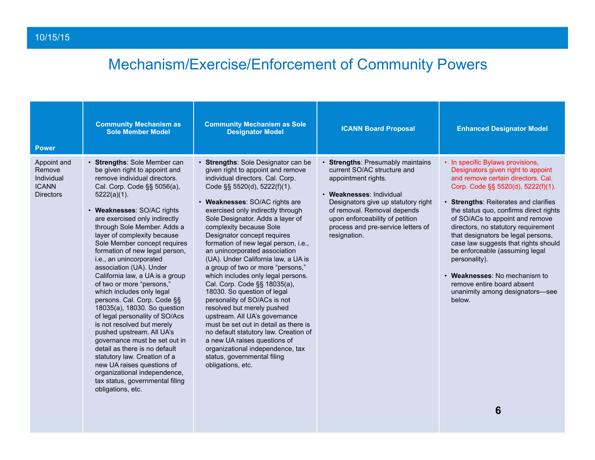| <b>Power</b>                                                            | <b>Community Mechanism as</b><br><b>Sole Member Model</b>                                                                                                                                                                                                                                                                                                                                                                                                                                                                                                                                                                                                                                                                                                                                                                                                                            | <b>Community Mechanism as Sole</b><br><b>Designator Model</b>                                                                                                                                                                                                                                                                                                                                                                                                                                                                                                                                                                                                                                                                                                                                                                                                                        | <b>ICANN Board Proposal</b>                                                                                                                                                                                                                                                        | <b>Enhanced Designator Model</b>                                                                                                                                                                                                                                                                                                                                                                                                                                                                                                                             |
|-------------------------------------------------------------------------|--------------------------------------------------------------------------------------------------------------------------------------------------------------------------------------------------------------------------------------------------------------------------------------------------------------------------------------------------------------------------------------------------------------------------------------------------------------------------------------------------------------------------------------------------------------------------------------------------------------------------------------------------------------------------------------------------------------------------------------------------------------------------------------------------------------------------------------------------------------------------------------|--------------------------------------------------------------------------------------------------------------------------------------------------------------------------------------------------------------------------------------------------------------------------------------------------------------------------------------------------------------------------------------------------------------------------------------------------------------------------------------------------------------------------------------------------------------------------------------------------------------------------------------------------------------------------------------------------------------------------------------------------------------------------------------------------------------------------------------------------------------------------------------|------------------------------------------------------------------------------------------------------------------------------------------------------------------------------------------------------------------------------------------------------------------------------------|--------------------------------------------------------------------------------------------------------------------------------------------------------------------------------------------------------------------------------------------------------------------------------------------------------------------------------------------------------------------------------------------------------------------------------------------------------------------------------------------------------------------------------------------------------------|
| Appoint and<br>Remove<br>Individual<br><b>ICANN</b><br><b>Directors</b> | • Strengths: Sole Member can<br>be given right to appoint and<br>remove individual directors.<br>Cal. Corp. Code §§ 5056(a),<br>$5222(a)(1)$ .<br>• Weaknesses: SO/AC rights<br>are exercised only indirectly<br>through Sole Member. Adds a<br>layer of complexity because<br>Sole Member concept requires<br>formation of new legal person,<br>i.e., an unincorporated<br>association (UA). Under<br>California law, a UA is a group<br>of two or more "persons,"<br>which includes only legal<br>persons. Cal. Corp. Code §§<br>18035(a), 18030. So question<br>of legal personality of SO/Acs<br>is not resolved but merely<br>pushed upstream. All UA's<br>governance must be set out in<br>detail as there is no default<br>statutory law. Creation of a<br>new UA raises questions of<br>organizational independence,<br>tax status, governmental filing<br>obligations, etc. | • Strengths: Sole Designator can be<br>given right to appoint and remove<br>individual directors. Cal. Corp.<br>Code §§ 5520(d), 5222(f)(1).<br>• Weaknesses: SO/AC rights are<br>exercised only indirectly through<br>Sole Designator. Adds a layer of<br>complexity because Sole<br>Designator concept requires<br>formation of new legal person, i.e.,<br>an unincorporated association<br>(UA). Under California law, a UA is<br>a group of two or more "persons,"<br>which includes only legal persons.<br>Cal. Corp. Code §§ 18035(a),<br>18030. So question of legal<br>personality of SO/ACs is not<br>resolved but merely pushed<br>upstream. All UA's governance<br>must be set out in detail as there is<br>no default statutory law. Creation of<br>a new UA raises questions of<br>organizational independence, tax<br>status, governmental filing<br>obligations, etc. | • Strengths: Presumably maintains<br>current SO/AC structure and<br>appointment rights.<br>• Weaknesses: Individual<br>Designators give up statutory right<br>of removal. Removal depends<br>upon enforceability of petition<br>process and pre-service letters of<br>resignation. | • In specific Bylaws provisions,<br>Designators given right to appoint<br>and remove certain directors. Cal.<br>Corp. Code §§ 5520(d), 5222(f)(1).<br>• Strengths: Reiterates and clarifies<br>the status quo, confirms direct rights<br>of SO/ACs to appoint and remove<br>directors, no statutory requirement<br>that designators be legal persons,<br>case law suggests that rights should<br>be enforceable (assuming legal<br>personality).<br>• Weaknesses: No mechanism to<br>remove entire board absent<br>unanimity among designators-see<br>below. |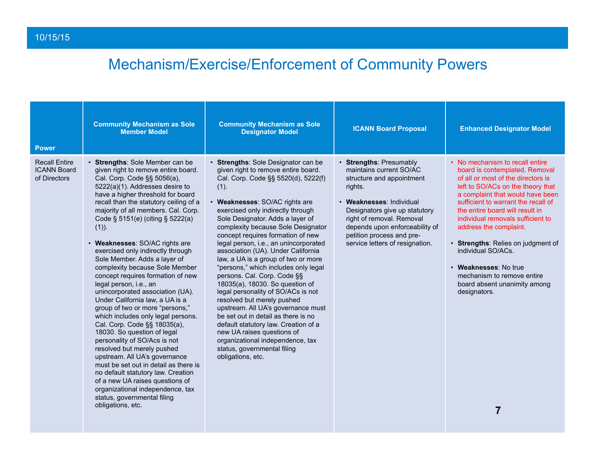| <b>Power</b>                                               | <b>Community Mechanism as Sole</b><br><b>Member Model</b>                                                                                                                                                                                                                                                                                                                                                                                                                                                                                                                                                                                                                                                                                                                                                                                                                                                                                                                                                                                      | <b>Community Mechanism as Sole</b><br><b>Designator Model</b>                                                                                                                                                                                                                                                                                                                                                                                                                                                                                                                                                                                                                                                                                                                                                                                                  | <b>ICANN Board Proposal</b>                                                                                                                                                                                                                                                            | <b>Enhanced Designator Model</b>                                                                                                                                                                                                                                                                                                                                                                                                                                                                  |
|------------------------------------------------------------|------------------------------------------------------------------------------------------------------------------------------------------------------------------------------------------------------------------------------------------------------------------------------------------------------------------------------------------------------------------------------------------------------------------------------------------------------------------------------------------------------------------------------------------------------------------------------------------------------------------------------------------------------------------------------------------------------------------------------------------------------------------------------------------------------------------------------------------------------------------------------------------------------------------------------------------------------------------------------------------------------------------------------------------------|----------------------------------------------------------------------------------------------------------------------------------------------------------------------------------------------------------------------------------------------------------------------------------------------------------------------------------------------------------------------------------------------------------------------------------------------------------------------------------------------------------------------------------------------------------------------------------------------------------------------------------------------------------------------------------------------------------------------------------------------------------------------------------------------------------------------------------------------------------------|----------------------------------------------------------------------------------------------------------------------------------------------------------------------------------------------------------------------------------------------------------------------------------------|---------------------------------------------------------------------------------------------------------------------------------------------------------------------------------------------------------------------------------------------------------------------------------------------------------------------------------------------------------------------------------------------------------------------------------------------------------------------------------------------------|
| <b>Recall Entire</b><br><b>ICANN Board</b><br>of Directors | • Strengths: Sole Member can be<br>given right to remove entire board.<br>Cal. Corp. Code §§ 5056(a),<br>5222(a)(1). Addresses desire to<br>have a higher threshold for board<br>recall than the statutory ceiling of a<br>majority of all members. Cal. Corp.<br>Code § 5151(e) (citing § 5222(a)<br>$(1)$ ).<br>• Weaknesses: SO/AC rights are<br>exercised only indirectly through<br>Sole Member. Adds a layer of<br>complexity because Sole Member<br>concept requires formation of new<br>legal person, i.e., an<br>unincorporated association (UA).<br>Under California law, a UA is a<br>group of two or more "persons,"<br>which includes only legal persons.<br>Cal. Corp. Code §§ 18035(a),<br>18030. So question of legal<br>personality of SO/Acs is not<br>resolved but merely pushed<br>upstream. All UA's governance<br>must be set out in detail as there is<br>no default statutory law. Creation<br>of a new UA raises questions of<br>organizational independence, tax<br>status, governmental filing<br>obligations, etc. | • Strengths: Sole Designator can be<br>given right to remove entire board.<br>Cal. Corp. Code §§ 5520(d), 5222(f)<br>(1).<br>• Weaknesses: SO/AC rights are<br>exercised only indirectly through<br>Sole Designator. Adds a layer of<br>complexity because Sole Designator<br>concept requires formation of new<br>legal person, i.e., an unincorporated<br>association (UA). Under California<br>law, a UA is a group of two or more<br>"persons," which includes only legal<br>persons. Cal. Corp. Code §§<br>18035(a), 18030. So question of<br>legal personality of SO/ACs is not<br>resolved but merely pushed<br>upstream. All UA's governance must<br>be set out in detail as there is no<br>default statutory law. Creation of a<br>new UA raises questions of<br>organizational independence, tax<br>status, governmental filing<br>obligations, etc. | • Strengths: Presumably<br>maintains current SO/AC<br>structure and appointment<br>rights.<br>• Weaknesses: Individual<br>Designators give up statutory<br>right of removal. Removal<br>depends upon enforceability of<br>petition process and pre-<br>service letters of resignation. | • No mechanism to recall entire<br>board is contemplated. Removal<br>of all or most of the directors is<br>left to SO/ACs on the theory that<br>a complaint that would have been<br>sufficient to warrant the recall of<br>the entire board will result in<br>individual removals sufficient to<br>address the complaint.<br>• Strengths: Relies on judgment of<br>individual SO/ACs.<br>• Weaknesses: No true<br>mechanism to remove entire<br>board absent unanimity among<br>designators.<br>7 |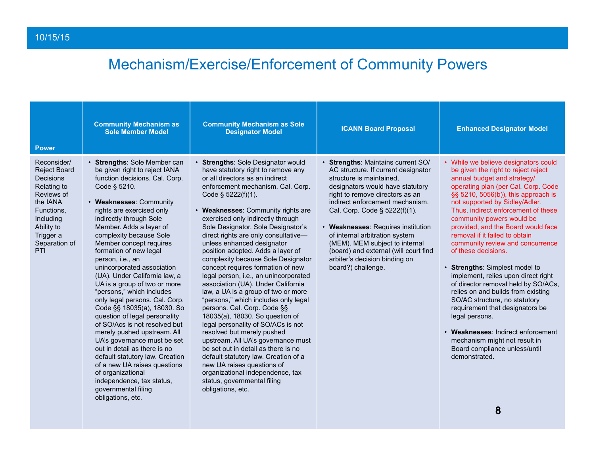| Reconsider/                                                                                                                                                    | · Strengths: Sole Member can<br>be given right to reject IANA<br>function decisions. Cal. Corp.                                                                                                                                                                                                                                                                                                                                                                                                                                                                                                                                                                                                                                                              | • Strengths: Sole Designator would<br>have statutory right to remove any                                                                                                                                                                                                                                                                                                                                                                                                                                                                                                                                                                                                                                                                                                                                                                                                                                                                         | · Strengths: Maintains current SO/                                                                                                                                                                                                                                                                                                                                                                                   |                                                                                                                                                                                                                                                                                                                                                                                                                                                                                                                                                                                                                                                                                                                                                                                                             |
|----------------------------------------------------------------------------------------------------------------------------------------------------------------|--------------------------------------------------------------------------------------------------------------------------------------------------------------------------------------------------------------------------------------------------------------------------------------------------------------------------------------------------------------------------------------------------------------------------------------------------------------------------------------------------------------------------------------------------------------------------------------------------------------------------------------------------------------------------------------------------------------------------------------------------------------|--------------------------------------------------------------------------------------------------------------------------------------------------------------------------------------------------------------------------------------------------------------------------------------------------------------------------------------------------------------------------------------------------------------------------------------------------------------------------------------------------------------------------------------------------------------------------------------------------------------------------------------------------------------------------------------------------------------------------------------------------------------------------------------------------------------------------------------------------------------------------------------------------------------------------------------------------|----------------------------------------------------------------------------------------------------------------------------------------------------------------------------------------------------------------------------------------------------------------------------------------------------------------------------------------------------------------------------------------------------------------------|-------------------------------------------------------------------------------------------------------------------------------------------------------------------------------------------------------------------------------------------------------------------------------------------------------------------------------------------------------------------------------------------------------------------------------------------------------------------------------------------------------------------------------------------------------------------------------------------------------------------------------------------------------------------------------------------------------------------------------------------------------------------------------------------------------------|
| <b>Reject Board</b><br><b>Decisions</b><br>Relating to<br>Reviews of<br>the IANA<br>Functions,<br>Including<br>Ability to<br>Trigger a<br>Separation of<br>PTI | Code § 5210.<br>• Weaknesses: Community<br>rights are exercised only<br>indirectly through Sole<br>Member. Adds a layer of<br>complexity because Sole<br>Member concept requires<br>formation of new legal<br>person, i.e., an<br>unincorporated association<br>(UA). Under California law, a<br>UA is a group of two or more<br>"persons," which includes<br>only legal persons. Cal. Corp.<br>Code §§ 18035(a), 18030. So<br>question of legal personality<br>of SO/Acs is not resolved but<br>merely pushed upstream. All<br>UA's governance must be set<br>out in detail as there is no<br>default statutory law. Creation<br>of a new UA raises questions<br>of organizational<br>independence, tax status,<br>governmental filing<br>obligations, etc. | or all directors as an indirect<br>enforcement mechanism. Cal. Corp.<br>Code § 5222(f)(1).<br>• Weaknesses: Community rights are<br>exercised only indirectly through<br>Sole Designator. Sole Designator's<br>direct rights are only consultative-<br>unless enhanced designator<br>position adopted. Adds a layer of<br>complexity because Sole Designator<br>concept requires formation of new<br>legal person, i.e., an unincorporated<br>association (UA). Under California<br>law, a UA is a group of two or more<br>"persons," which includes only legal<br>persons. Cal. Corp. Code §§<br>18035(a), 18030. So question of<br>legal personality of SO/ACs is not<br>resolved but merely pushed<br>upstream. All UA's governance must<br>be set out in detail as there is no<br>default statutory law. Creation of a<br>new UA raises questions of<br>organizational independence, tax<br>status, governmental filing<br>obligations, etc. | AC structure. If current designator<br>structure is maintained,<br>designators would have statutory<br>right to remove directors as an<br>indirect enforcement mechanism.<br>Cal. Corp. Code § 5222(f)(1).<br>• Weaknesses: Requires institution<br>of internal arbitration system<br>(MEM). MEM subject to internal<br>(board) and external (will court find<br>arbiter's decision binding on<br>board?) challenge. | • While we believe designators could<br>be given the right to reject reject<br>annual budget and strategy/<br>operating plan (per Cal. Corp. Code<br>§§ 5210, 5056(b)), this approach is<br>not supported by Sidley/Adler.<br>Thus, indirect enforcement of these<br>community powers would be<br>provided, and the Board would face<br>removal if it failed to obtain<br>community review and concurrence<br>of these decisions.<br>• Strengths: Simplest model to<br>implement, relies upon direct right<br>of director removal held by SO/ACs,<br>relies on and builds from existing<br>SO/AC structure, no statutory<br>requirement that designators be<br>legal persons.<br>• Weaknesses: Indirect enforcement<br>mechanism might not result in<br>Board compliance unless/until<br>demonstrated.<br>8 |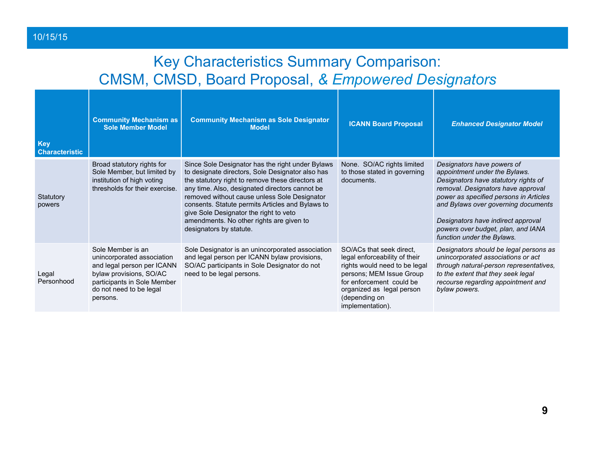#### 10/15/15

### Key Characteristics Summary Comparison: CMSM, CMSD, Board Proposal, *& Empowered Designators*

| <b>Key</b><br><b>Characteristic</b> | <b>Community Mechanism as</b><br><b>Sole Member Model</b>                                                                                                                      | <b>Community Mechanism as Sole Designator</b><br><b>Model</b>                                                                                                                                                                                                                                                                                                                                                                   | <b>ICANN Board Proposal</b>                                                                                                                                                                                          | <b>Enhanced Designator Model</b>                                                                                                                                                                                                                                                                                                     |
|-------------------------------------|--------------------------------------------------------------------------------------------------------------------------------------------------------------------------------|---------------------------------------------------------------------------------------------------------------------------------------------------------------------------------------------------------------------------------------------------------------------------------------------------------------------------------------------------------------------------------------------------------------------------------|----------------------------------------------------------------------------------------------------------------------------------------------------------------------------------------------------------------------|--------------------------------------------------------------------------------------------------------------------------------------------------------------------------------------------------------------------------------------------------------------------------------------------------------------------------------------|
| Statutory<br>powers                 | Broad statutory rights for<br>Sole Member, but limited by<br>institution of high voting<br>thresholds for their exercise.                                                      | Since Sole Designator has the right under Bylaws<br>to designate directors, Sole Designator also has<br>the statutory right to remove these directors at<br>any time. Also, designated directors cannot be<br>removed without cause unless Sole Designator<br>consents. Statute permits Articles and Bylaws to<br>give Sole Designator the right to veto<br>amendments. No other rights are given to<br>designators by statute. | None. SO/AC rights limited<br>to those stated in governing<br>documents.                                                                                                                                             | Designators have powers of<br>appointment under the Bylaws.<br>Designators have statutory rights of<br>removal. Designators have approval<br>power as specified persons in Articles<br>and Bylaws over governing documents<br>Designators have indirect approval<br>powers over budget, plan, and IANA<br>function under the Bylaws. |
| Legal<br>Personhood                 | Sole Member is an<br>unincorporated association<br>and legal person per ICANN<br>bylaw provisions, SO/AC<br>participants in Sole Member<br>do not need to be legal<br>persons. | Sole Designator is an unincorporated association<br>and legal person per ICANN bylaw provisions,<br>SO/AC participants in Sole Designator do not<br>need to be legal persons.                                                                                                                                                                                                                                                   | SO/ACs that seek direct,<br>legal enforceability of their<br>rights would need to be legal<br>persons; MEM Issue Group<br>for enforcement could be<br>organized as legal person<br>(depending on<br>implementation). | Designators should be legal persons as<br>unincorporated associations or act<br>through natural-person representatives,<br>to the extent that they seek legal<br>recourse regarding appointment and<br>bylaw powers.                                                                                                                 |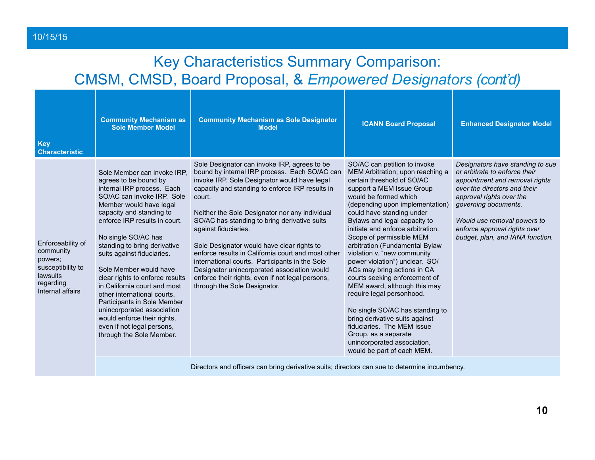### Key Characteristics Summary Comparison: CMSM, CMSD, Board Proposal, & *Empowered Designators (cont'd)*

10/15/15

| <b>Key</b><br><b>Characteristic</b>                                                                         | <b>Community Mechanism as</b><br><b>Sole Member Model</b>                                                                                                                                                                                                                                                                                                                                                                                                                                                                                                                       | <b>Community Mechanism as Sole Designator</b><br><b>Model</b>                                                                                                                                                                                                                                                                                                                                                                                                                                                                                                                                                                 | <b>ICANN Board Proposal</b>                                                                                                                                                                                                                                                                                                                                                                                                                                                                                                                                                                                                                                                                                                                   | <b>Enhanced Designator Model</b>                                                                                                                                                                                                                                                           |
|-------------------------------------------------------------------------------------------------------------|---------------------------------------------------------------------------------------------------------------------------------------------------------------------------------------------------------------------------------------------------------------------------------------------------------------------------------------------------------------------------------------------------------------------------------------------------------------------------------------------------------------------------------------------------------------------------------|-------------------------------------------------------------------------------------------------------------------------------------------------------------------------------------------------------------------------------------------------------------------------------------------------------------------------------------------------------------------------------------------------------------------------------------------------------------------------------------------------------------------------------------------------------------------------------------------------------------------------------|-----------------------------------------------------------------------------------------------------------------------------------------------------------------------------------------------------------------------------------------------------------------------------------------------------------------------------------------------------------------------------------------------------------------------------------------------------------------------------------------------------------------------------------------------------------------------------------------------------------------------------------------------------------------------------------------------------------------------------------------------|--------------------------------------------------------------------------------------------------------------------------------------------------------------------------------------------------------------------------------------------------------------------------------------------|
| Enforceability of<br>community<br>powers;<br>susceptibility to<br>lawsuits<br>regarding<br>Internal affairs | Sole Member can invoke IRP.<br>agrees to be bound by<br>internal IRP process. Each<br>SO/AC can invoke IRP. Sole<br>Member would have legal<br>capacity and standing to<br>enforce IRP results in court.<br>No single SO/AC has<br>standing to bring derivative<br>suits against fiduciaries.<br>Sole Member would have<br>clear rights to enforce results<br>in California court and most<br>other international courts.<br>Participants in Sole Member<br>unincorporated association<br>would enforce their rights,<br>even if not legal persons,<br>through the Sole Member. | Sole Designator can invoke IRP, agrees to be<br>bound by internal IRP process. Each SO/AC can<br>invoke IRP. Sole Designator would have legal<br>capacity and standing to enforce IRP results in<br>court.<br>Neither the Sole Designator nor any individual<br>SO/AC has standing to bring derivative suits<br>against fiduciaries.<br>Sole Designator would have clear rights to<br>enforce results in California court and most other<br>international courts. Participants in the Sole<br>Designator unincorporated association would<br>enforce their rights, even if not legal persons,<br>through the Sole Designator. | SO/AC can petition to invoke<br>MEM Arbitration; upon reaching a<br>certain threshold of SO/AC<br>support a MEM Issue Group<br>would be formed which<br>(depending upon implementation)<br>could have standing under<br>Bylaws and legal capacity to<br>initiate and enforce arbitration.<br>Scope of permissible MEM<br>arbitration (Fundamental Bylaw<br>violation v. "new community<br>power violation") unclear. SO/<br>ACs may bring actions in CA<br>courts seeking enforcement of<br>MEM award, although this may<br>require legal personhood.<br>No single SO/AC has standing to<br>bring derivative suits against<br>fiduciaries. The MEM Issue<br>Group, as a separate<br>unincorporated association.<br>would be part of each MEM. | Designators have standing to sue<br>or arbitrate to enforce their<br>appointment and removal rights<br>over the directors and their<br>approval rights over the<br>governing documents.<br>Would use removal powers to<br>enforce approval rights over<br>budget, plan, and IANA function. |

Directors and officers can bring derivative suits; directors can sue to determine incumbency.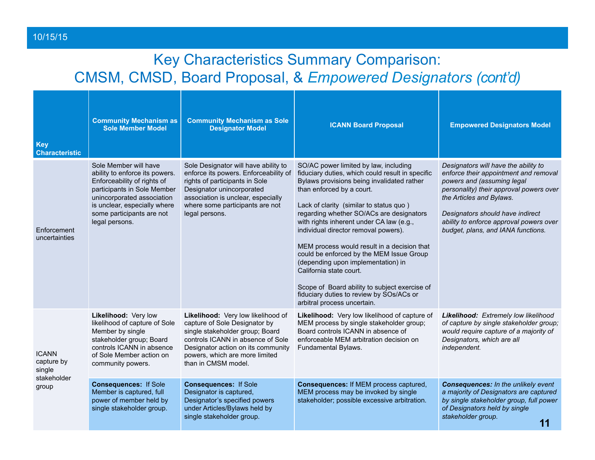#### 10/15/15

#### Key Characteristics Summary Comparison: CMSM, CMSD, Board Proposal, & *Empowered Designators (cont'd)*

| <b>Key</b><br><b>Characteristic</b>                          | <b>Community Mechanism as</b><br><b>Sole Member Model</b>                                                                                                                                                                          | <b>Community Mechanism as Sole</b><br><b>Designator Model</b>                                                                                                                                                                              | <b>ICANN Board Proposal</b>                                                                                                                                                                                                                                                                                                                                                                                                                                                                                                                                                                                                             | <b>Empowered Designators Model</b>                                                                                                                                                                                                                                                                      |
|--------------------------------------------------------------|------------------------------------------------------------------------------------------------------------------------------------------------------------------------------------------------------------------------------------|--------------------------------------------------------------------------------------------------------------------------------------------------------------------------------------------------------------------------------------------|-----------------------------------------------------------------------------------------------------------------------------------------------------------------------------------------------------------------------------------------------------------------------------------------------------------------------------------------------------------------------------------------------------------------------------------------------------------------------------------------------------------------------------------------------------------------------------------------------------------------------------------------|---------------------------------------------------------------------------------------------------------------------------------------------------------------------------------------------------------------------------------------------------------------------------------------------------------|
| Enforcement<br>uncertainties                                 | Sole Member will have<br>ability to enforce its powers.<br>Enforceability of rights of<br>participants in Sole Member<br>unincorporated association<br>is unclear, especially where<br>some participants are not<br>legal persons. | Sole Designator will have ability to<br>enforce its powers. Enforceability of<br>rights of participants in Sole<br>Designator unincorporated<br>association is unclear, especially<br>where some participants are not<br>legal persons.    | SO/AC power limited by law, including<br>fiduciary duties, which could result in specific<br>Bylaws provisions being invalidated rather<br>than enforced by a court.<br>Lack of clarity (similar to status quo)<br>regarding whether SO/ACs are designators<br>with rights inherent under CA law (e.g.,<br>individual director removal powers).<br>MEM process would result in a decision that<br>could be enforced by the MEM Issue Group<br>(depending upon implementation) in<br>California state court.<br>Scope of Board ability to subject exercise of<br>fiduciary duties to review by SOs/ACs or<br>arbitral process uncertain. | Designators will have the ability to<br>enforce their appointment and removal<br>powers and (assuming legal<br>personality) their approval powers over<br>the Articles and Bylaws.<br>Designators should have indirect<br>ability to enforce approval powers over<br>budget, plans, and IANA functions. |
| <b>ICANN</b><br>capture by<br>single<br>stakeholder<br>group | Likelihood: Very low<br>likelihood of capture of Sole<br>Member by single<br>stakeholder group; Board<br>controls ICANN in absence<br>of Sole Member action on<br>community powers.                                                | Likelihood: Very low likelihood of<br>capture of Sole Designator by<br>single stakeholder group; Board<br>controls ICANN in absence of Sole<br>Designator action on its community<br>powers, which are more limited<br>than in CMSM model. | Likelihood: Very low likelihood of capture of<br>MEM process by single stakeholder group;<br>Board controls ICANN in absence of<br>enforceable MEM arbitration decision on<br>Fundamental Bylaws.                                                                                                                                                                                                                                                                                                                                                                                                                                       | Likelihood: Extremely low likelihood<br>of capture by single stakeholder group;<br>would require capture of a majority of<br>Designators, which are all<br>independent.                                                                                                                                 |
|                                                              | <b>Consequences: If Sole</b><br>Member is captured, full<br>power of member held by<br>single stakeholder group.                                                                                                                   | <b>Consequences: If Sole</b><br>Designator is captured,<br>Designator's specified powers<br>under Articles/Bylaws held by<br>single stakeholder group.                                                                                     | Consequences: If MEM process captured,<br>MEM process may be invoked by single<br>stakeholder; possible excessive arbitration.                                                                                                                                                                                                                                                                                                                                                                                                                                                                                                          | <b>Consequences:</b> In the unlikely event<br>a majority of Designators are captured<br>by single stakeholder group, full power<br>of Designators held by single<br>stakeholder group.<br>11                                                                                                            |